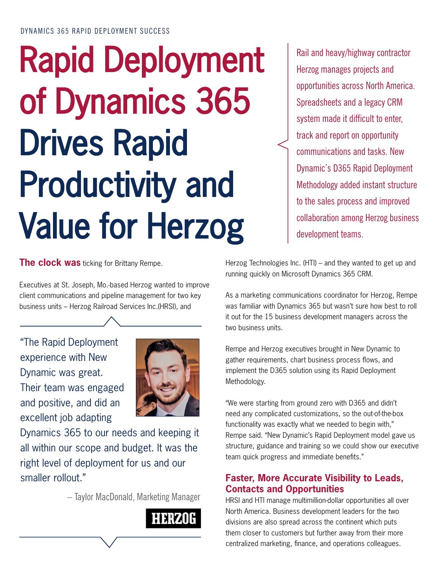# Rapid Deployment of Dynamics 365 Drives Rapid Productivity and Value for Herzog

**The clock was** ticking for Brittany Rempe.

Executives at St. Joseph, Mo.-based Herzog wanted to improve client communications and pipeline management for two key business units – Herzog Railroad Services Inc.(HRSI), and

"The Rapid Deployment experience with New Dynamic was great. Their team was engaged and positive, and did an excellent job adapting



Dynamics 365 to our needs and keeping it all within our scope and budget. It was the right level of deployment for us and our smaller rollout."

– Taylor MacDonald, Marketing Manager



Rail and heavy/highway contractor Herzog manages projects and opportunities across North America. Spreadsheets and a legacy CRM system made it difficult to enter, track and report on opportunity communications and tasks. New Dynamic's D365 Rapid Deployment Methodology added instant structure to the sales process and improved collaboration among Herzog business development teams.

Herzog Technologies Inc. (HTI) – and they wanted to get up and running quickly on Microsoft Dynamics 365 CRM.

As a marketing communications coordinator for Herzog, Rempe was familiar with Dynamics 365 but wasn't sure how best to roll it out for the 15 business development managers across the two business units.

Rempe and Herzog executives brought in New Dynamic to gather requirements, chart business process flows, and implement the D365 solution using its Rapid Deployment Methodology.

"We were starting from ground zero with D365 and didn't need any complicated customizations, so the out-of-the-box functionality was exactly what we needed to begin with," Rempe said. "New Dynamic's Rapid Deployment model gave us structure, guidance and training so we could show our executive team quick progress and immediate benefits."

## **Faster, More Accurate Visibility to Leads, Contacts and Opportunities**

HRSI and HTI manage multimillion-dollar opportunities all over North America. Business development leaders for the two divisions are also spread across the continent which puts them closer to customers but further away from their more centralized marketing, finance, and operations colleagues.